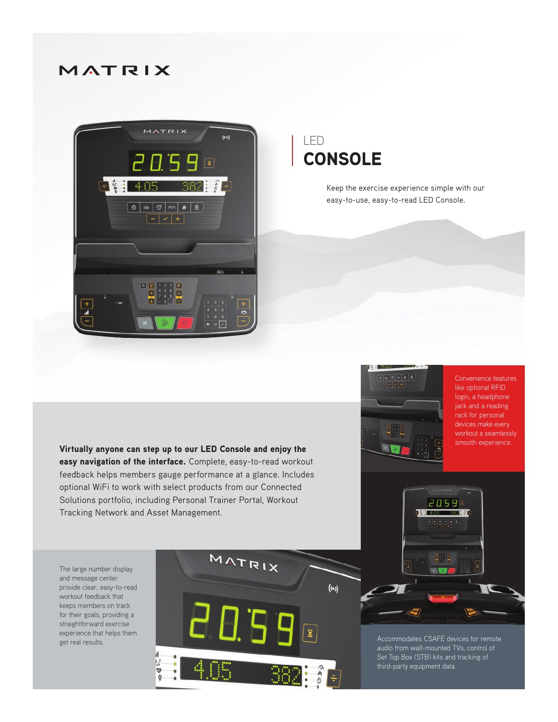## MATRIX



## LED **CONSOLE**

Keep the exercise experience simple with our easy-to-use, easy-to-read LED Console.

Virtually anyone can step up to our LED Console and enjoy the easy navigation of the interface. Complete, easy-to-read workout feedback helps members gauge performance at a glance. Includes optional WiFi to work with select products from our Connected Solutions portfolio, including Personal Trainer Portal, Workout Tracking Network and Asset Management.

The large number display and message center provide clear, easy-to-read workout feedback that keeps members on track for their goals, providing a straightforward exercise experience that helps them get real results.





Convenience features like optional RFID login, a headphone jack and a reading rack for personal devices make every workout a seamlessly smooth experience.



Accommodates CSAFE devices for remote Set Top Box (STB) kits and tracking of third-party equipment data.